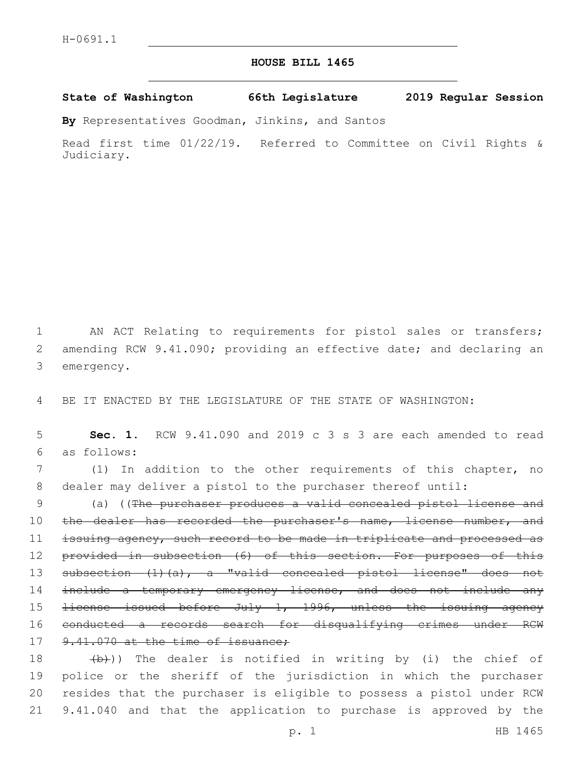## **HOUSE BILL 1465**

**State of Washington 66th Legislature 2019 Regular Session**

**By** Representatives Goodman, Jinkins, and Santos

Read first time 01/22/19. Referred to Committee on Civil Rights & Judiciary.

1 AN ACT Relating to requirements for pistol sales or transfers; 2 amending RCW 9.41.090; providing an effective date; and declaring an 3 emergency.

4 BE IT ENACTED BY THE LEGISLATURE OF THE STATE OF WASHINGTON:

5 **Sec. 1.** RCW 9.41.090 and 2019 c 3 s 3 are each amended to read as follows:6

7 (1) In addition to the other requirements of this chapter, no 8 dealer may deliver a pistol to the purchaser thereof until:

9 (a) ((The purchaser produces a valid concealed pistol license and 10 the dealer has recorded the purchaser's name, license number, and 11 issuing agency, such record to be made in triplicate and processed as 12 provided in subsection (6) of this section. For purposes of this 13 subsection (1)(a), a "valid concealed pistol license" does not 14 include a temporary emergency license, and does not include any 15 license issued before July 1, 1996, unless the issuing agency 16 conducted a records search for disqualifying crimes under RCW 17 9.41.070 at the time of issuance;

 $(b)$ )) The dealer is notified in writing by (i) the chief of police or the sheriff of the jurisdiction in which the purchaser resides that the purchaser is eligible to possess a pistol under RCW 9.41.040 and that the application to purchase is approved by the

p. 1 HB 1465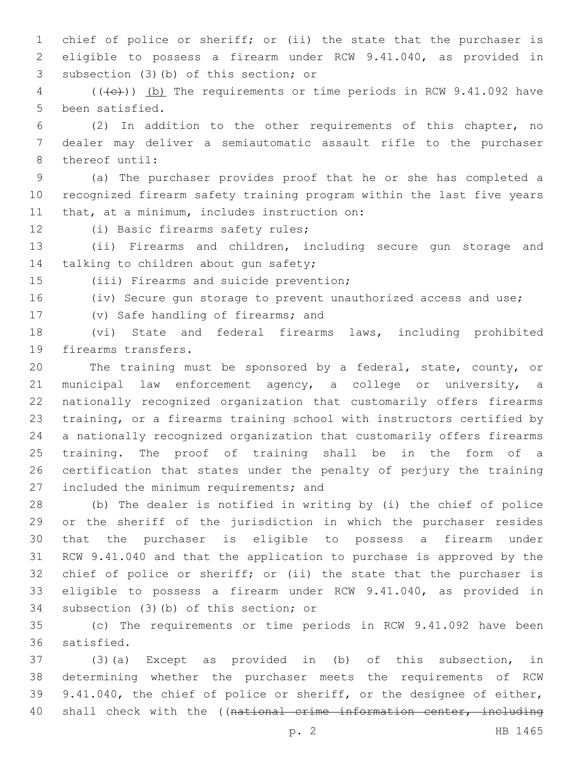chief of police or sheriff; or (ii) the state that the purchaser is eligible to possess a firearm under RCW 9.41.040, as provided in 3 subsection (3)(b) of this section; or

4 (((+e)) (b) The requirements or time periods in RCW 9.41.092 have 5 been satisfied.

 (2) In addition to the other requirements of this chapter, no dealer may deliver a semiautomatic assault rifle to the purchaser 8 thereof until:

 (a) The purchaser provides proof that he or she has completed a recognized firearm safety training program within the last five years 11 that, at a minimum, includes instruction on:

12 (i) Basic firearms safety rules;

 (ii) Firearms and children, including secure gun storage and 14 talking to children about gun safety;

15 (iii) Firearms and suicide prevention;

(iv) Secure gun storage to prevent unauthorized access and use;

17 (v) Safe handling of firearms; and

 (vi) State and federal firearms laws, including prohibited 19 firearms transfers.

 The training must be sponsored by a federal, state, county, or municipal law enforcement agency, a college or university, a nationally recognized organization that customarily offers firearms training, or a firearms training school with instructors certified by a nationally recognized organization that customarily offers firearms training. The proof of training shall be in the form of a certification that states under the penalty of perjury the training 27 included the minimum requirements; and

 (b) The dealer is notified in writing by (i) the chief of police or the sheriff of the jurisdiction in which the purchaser resides that the purchaser is eligible to possess a firearm under RCW 9.41.040 and that the application to purchase is approved by the 32 chief of police or sheriff; or (ii) the state that the purchaser is eligible to possess a firearm under RCW 9.41.040, as provided in 34 subsection (3)(b) of this section; or

 (c) The requirements or time periods in RCW 9.41.092 have been 36 satisfied.

 (3)(a) Except as provided in (b) of this subsection, in determining whether the purchaser meets the requirements of RCW 9.41.040, the chief of police or sheriff, or the designee of either, shall check with the ((national crime information center, including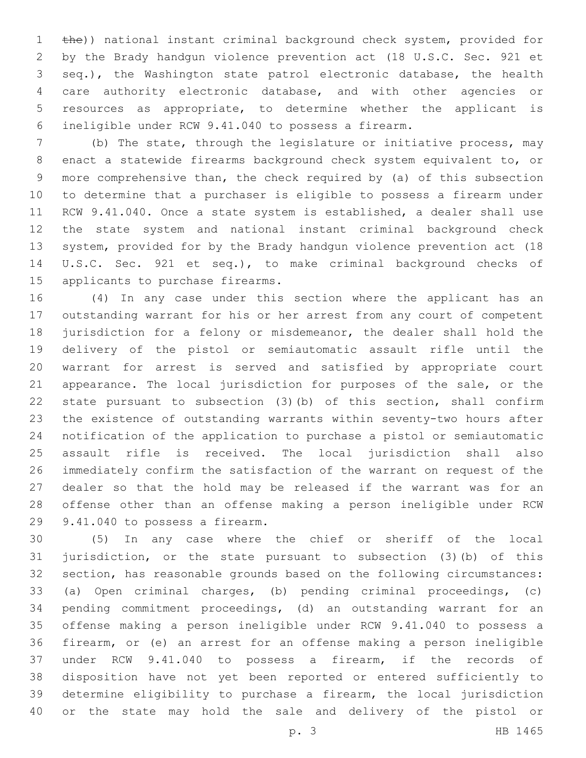1 the)) national instant criminal background check system, provided for by the Brady handgun violence prevention act (18 U.S.C. Sec. 921 et seq.), the Washington state patrol electronic database, the health care authority electronic database, and with other agencies or resources as appropriate, to determine whether the applicant is ineligible under RCW 9.41.040 to possess a firearm.

 (b) The state, through the legislature or initiative process, may enact a statewide firearms background check system equivalent to, or more comprehensive than, the check required by (a) of this subsection to determine that a purchaser is eligible to possess a firearm under RCW 9.41.040. Once a state system is established, a dealer shall use the state system and national instant criminal background check system, provided for by the Brady handgun violence prevention act (18 U.S.C. Sec. 921 et seq.), to make criminal background checks of 15 applicants to purchase firearms.

 (4) In any case under this section where the applicant has an outstanding warrant for his or her arrest from any court of competent jurisdiction for a felony or misdemeanor, the dealer shall hold the delivery of the pistol or semiautomatic assault rifle until the warrant for arrest is served and satisfied by appropriate court appearance. The local jurisdiction for purposes of the sale, or the state pursuant to subsection (3)(b) of this section, shall confirm the existence of outstanding warrants within seventy-two hours after notification of the application to purchase a pistol or semiautomatic assault rifle is received. The local jurisdiction shall also immediately confirm the satisfaction of the warrant on request of the dealer so that the hold may be released if the warrant was for an offense other than an offense making a person ineligible under RCW 29 9.41.040 to possess a firearm.

 (5) In any case where the chief or sheriff of the local jurisdiction, or the state pursuant to subsection (3)(b) of this section, has reasonable grounds based on the following circumstances: (a) Open criminal charges, (b) pending criminal proceedings, (c) pending commitment proceedings, (d) an outstanding warrant for an offense making a person ineligible under RCW 9.41.040 to possess a firearm, or (e) an arrest for an offense making a person ineligible under RCW 9.41.040 to possess a firearm, if the records of disposition have not yet been reported or entered sufficiently to determine eligibility to purchase a firearm, the local jurisdiction or the state may hold the sale and delivery of the pistol or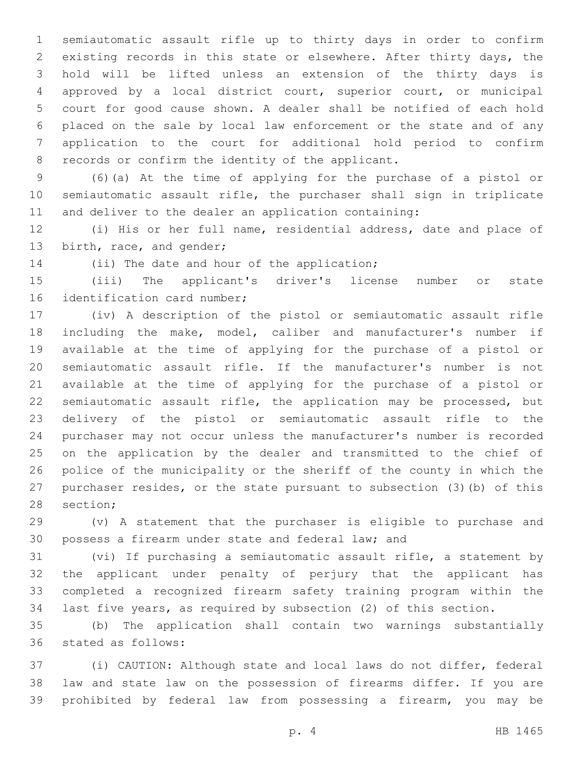semiautomatic assault rifle up to thirty days in order to confirm existing records in this state or elsewhere. After thirty days, the hold will be lifted unless an extension of the thirty days is approved by a local district court, superior court, or municipal court for good cause shown. A dealer shall be notified of each hold placed on the sale by local law enforcement or the state and of any application to the court for additional hold period to confirm 8 records or confirm the identity of the applicant.

 (6)(a) At the time of applying for the purchase of a pistol or semiautomatic assault rifle, the purchaser shall sign in triplicate and deliver to the dealer an application containing:

 (i) His or her full name, residential address, date and place of 13 birth, race, and gender;

14 (ii) The date and hour of the application;

 (iii) The applicant's driver's license number or state 16 identification card number;

 (iv) A description of the pistol or semiautomatic assault rifle including the make, model, caliber and manufacturer's number if available at the time of applying for the purchase of a pistol or semiautomatic assault rifle. If the manufacturer's number is not available at the time of applying for the purchase of a pistol or semiautomatic assault rifle, the application may be processed, but delivery of the pistol or semiautomatic assault rifle to the purchaser may not occur unless the manufacturer's number is recorded on the application by the dealer and transmitted to the chief of police of the municipality or the sheriff of the county in which the purchaser resides, or the state pursuant to subsection (3)(b) of this 28 section;

 (v) A statement that the purchaser is eligible to purchase and possess a firearm under state and federal law; and

 (vi) If purchasing a semiautomatic assault rifle, a statement by the applicant under penalty of perjury that the applicant has completed a recognized firearm safety training program within the last five years, as required by subsection (2) of this section.

 (b) The application shall contain two warnings substantially 36 stated as follows:

 (i) CAUTION: Although state and local laws do not differ, federal law and state law on the possession of firearms differ. If you are prohibited by federal law from possessing a firearm, you may be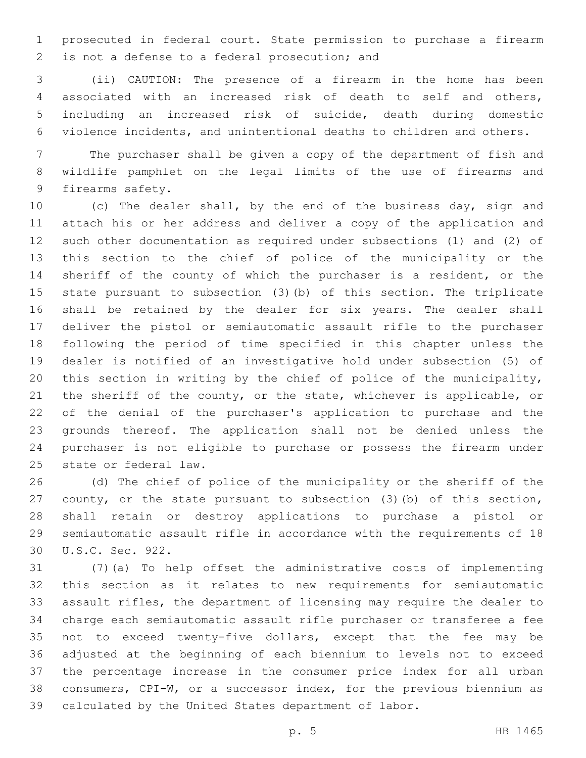prosecuted in federal court. State permission to purchase a firearm 2 is not a defense to a federal prosecution; and

 (ii) CAUTION: The presence of a firearm in the home has been associated with an increased risk of death to self and others, including an increased risk of suicide, death during domestic violence incidents, and unintentional deaths to children and others.

 The purchaser shall be given a copy of the department of fish and wildlife pamphlet on the legal limits of the use of firearms and 9 firearms safety.

 (c) The dealer shall, by the end of the business day, sign and attach his or her address and deliver a copy of the application and such other documentation as required under subsections (1) and (2) of this section to the chief of police of the municipality or the sheriff of the county of which the purchaser is a resident, or the state pursuant to subsection (3)(b) of this section. The triplicate shall be retained by the dealer for six years. The dealer shall deliver the pistol or semiautomatic assault rifle to the purchaser following the period of time specified in this chapter unless the dealer is notified of an investigative hold under subsection (5) of this section in writing by the chief of police of the municipality, the sheriff of the county, or the state, whichever is applicable, or of the denial of the purchaser's application to purchase and the grounds thereof. The application shall not be denied unless the purchaser is not eligible to purchase or possess the firearm under 25 state or federal law.

 (d) The chief of police of the municipality or the sheriff of the county, or the state pursuant to subsection (3)(b) of this section, shall retain or destroy applications to purchase a pistol or semiautomatic assault rifle in accordance with the requirements of 18 30 U.S.C. Sec. 922.

 (7)(a) To help offset the administrative costs of implementing this section as it relates to new requirements for semiautomatic assault rifles, the department of licensing may require the dealer to charge each semiautomatic assault rifle purchaser or transferee a fee not to exceed twenty-five dollars, except that the fee may be adjusted at the beginning of each biennium to levels not to exceed the percentage increase in the consumer price index for all urban consumers, CPI-W, or a successor index, for the previous biennium as calculated by the United States department of labor.